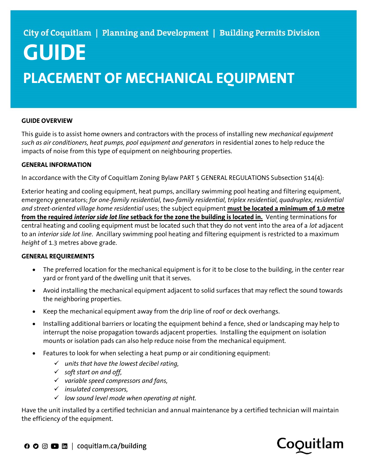# GUIDE PLACEMENT OF MECHANICAL EQUIPMENT

### GUIDE OVERVIEW

This guide is to assist home owners and contractors with the process of installing new *mechanical equipment* such as air conditioners, heat pumps, pool equipment and generators in residential zones to help reduce the impacts of noise from this type of equipment on neighbouring properties.

#### GENERAL INFORMATION

In accordance with the City of Coquitlam Zoning Bylaw PART 5 GENERAL REGULATIONS Subsection 514(4):

Exterior heating and cooling equipment, heat pumps, ancillary swimming pool heating and filtering equipment, emergency generators; for one-family residential, two-family residential, triplex residential, quadruplex, residential and street-oriented village home residential uses; the subject equipment must be located a minimum of 1.0 metre from the required interior side lot line setback for the zone the building is located in. Venting terminations for central heating and cooling equipment must be located such that they do not vent into the area of a lot adjacent to an interior side lot line. Ancillary swimming pool heating and filtering equipment is restricted to a maximum height of 1.3 metres above grade.

### GENERAL REQUIREMENTS

- The preferred location for the mechanical equipment is for it to be close to the building, in the center rear yard or front yard of the dwelling unit that it serves.
- Avoid installing the mechanical equipment adjacent to solid surfaces that may reflect the sound towards the neighboring properties.
- Keep the mechanical equipment away from the drip line of roof or deck overhangs.
- Installing additional barriers or locating the equipment behind a fence, shed or landscaping may help to interrupt the noise propagation towards adjacent properties. Installing the equipment on isolation mounts or isolation pads can also help reduce noise from the mechanical equipment.
- Features to look for when selecting a heat pump or air conditioning equipment:
	- $\checkmark$  units that have the lowest decibel rating,
	- $\checkmark$  soft start on and off,
	- $\checkmark$  variable speed compressors and fans,
	- $\checkmark$  insulated compressors,
	- $\checkmark$  low sound level mode when operating at night.

Have the unit installed by a certified technician and annual maintenance by a certified technician will maintain the efficiency of the equipment.

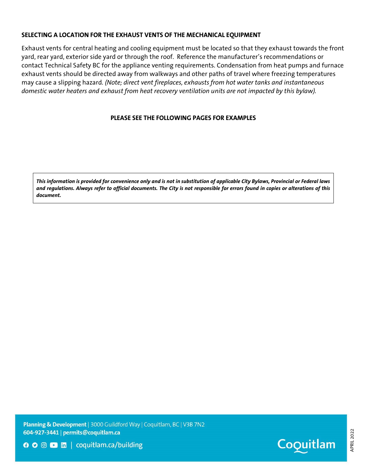## SELECTING A LOCATION FOR THE EXHAUST VENTS OF THE MECHANICAL EQUIPMENT

Exhaust vents for central heating and cooling equipment must be located so that they exhaust towards the front yard, rear yard, exterior side yard or through the roof. Reference the manufacturer's recommendations or contact Technical Safety BC for the appliance venting requirements. Condensation from heat pumps and furnace exhaust vents should be directed away from walkways and other paths of travel where freezing temperatures may cause a slipping hazard. (Note; direct vent fireplaces, exhausts from hot water tanks and instantaneous domestic water heaters and exhaust from heat recovery ventilation units are not impacted by this bylaw).

## PLEASE SEE THE FOLLOWING PAGES FOR EXAMPLES

This information is provided for convenience only and is not in substitution of applicable City Bylaws, Provincial or Federal laws and regulations. Always refer to official documents. The City is not responsible for errors found in copies or alterations of this document.

Planning & Development | 3000 Guildford Way | Coquitlam, BC | V3B 7N2 604-927-3441 | permits@coquitlam.ca





APRIL 2022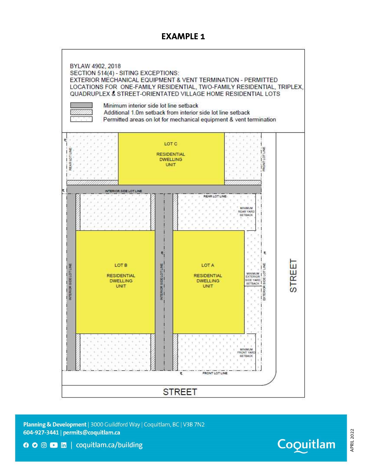# EXAMPLE 1



Planning & Development | 3000 Guildford Way | Coquitlam, BC | V3B 7N2 604-927-3441 | permits@coquitlam.ca



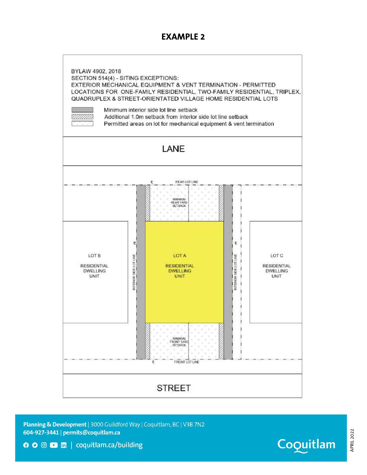## EXAMPLE 2



Planning & Development | 3000 Guildford Way | Coquitlam, BC | V3B 7N2 604-927-3441 | permits@coquitlam.ca